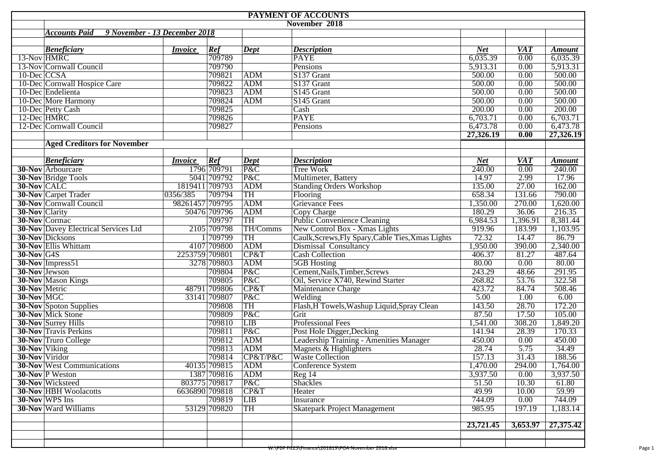|                      | PAYMENT OF ACCOUNTS                         |                               |               |                                     |                                                    |            |            |                      |  |  |  |
|----------------------|---------------------------------------------|-------------------------------|---------------|-------------------------------------|----------------------------------------------------|------------|------------|----------------------|--|--|--|
|                      |                                             | November 2018                 |               |                                     |                                                    |            |            |                      |  |  |  |
|                      | <b>Accounts Paid</b>                        | 9 November - 13 December 2018 |               |                                     |                                                    |            |            |                      |  |  |  |
|                      |                                             |                               |               |                                     |                                                    |            |            |                      |  |  |  |
|                      | <b>Beneficiary</b>                          | <i>Invoice</i>                | Ref           | $\overline{Dept}$                   | <b>Description</b>                                 | <b>Net</b> | <b>VAT</b> | <b>Amount</b>        |  |  |  |
| 13-Nov HMRC          |                                             |                               | 709789        |                                     | <b>PAYE</b>                                        | 6,035.39   | 0.00       | 6,035.39             |  |  |  |
|                      | 13-Nov Cornwall Council                     |                               | 709790        |                                     | Pensions                                           | 5,913.31   | 0.00       | 5,913.31             |  |  |  |
| $10$ -Dec CCSA       |                                             |                               | 709821        | ADM                                 | S137 Grant                                         | 500.00     | 0.00       | 500.00               |  |  |  |
|                      | 10-Dec Cornwall Hospice Care                |                               | 709822        | ADM                                 | S137 Grant                                         | 500.00     | 0.00       | 500.00               |  |  |  |
|                      | 10-Dec Endelienta                           |                               | 709823        | ADM                                 | S145 Grant                                         | 500.00     | 0.00       | 500.00               |  |  |  |
|                      | 10-Dec More Harmony                         |                               | 709824        | ADM                                 | S145 Grant                                         | 500.00     | 0.00       | 500.00               |  |  |  |
|                      | 10-Dec Petty Cash                           |                               | 709825        |                                     | $\overline{\text{Cash}}$                           | 200.00     | 0.00       | 200.00               |  |  |  |
| 12-Dec HMRC          |                                             |                               | 709826        |                                     | <b>PAYE</b>                                        | 6,703.71   | 0.00       | 6,703.71             |  |  |  |
|                      | 12-Dec Cornwall Council                     |                               | 709827        |                                     | Pensions                                           | 6,473.78   | 0.00       | 6,473.78             |  |  |  |
|                      |                                             |                               |               |                                     |                                                    | 27,326.19  | 0.00       | 27,326.19            |  |  |  |
|                      | <b>Aged Creditors for November</b>          |                               |               |                                     |                                                    |            |            |                      |  |  |  |
|                      |                                             |                               |               |                                     |                                                    |            |            |                      |  |  |  |
|                      | <b>Beneficiary</b>                          | <i>Invoice</i>                | Ref           | $\vert$ Dept                        | <b>Description</b>                                 | <b>Net</b> | <b>VAT</b> | <b>Amount</b>        |  |  |  |
|                      | <b>30-Nov</b> Arbourcare                    |                               | 1796 709791   | $\overline{\mathbf{P}\&\mathbf{C}}$ | <b>Tree Work</b>                                   | 240.00     | 0.00       | 240.00               |  |  |  |
|                      | <b>30-Nov Bridge Tools</b>                  |                               | 5041 709792   | P&C                                 | Multimeter, Battery                                | 14.97      | 2.99       | 17.96                |  |  |  |
| 30-Nov CALC          |                                             | 1819411 709793                |               | ADM                                 | <b>Standing Orders Workshop</b>                    | 135.00     | 27.00      | 162.00               |  |  |  |
|                      | <b>30-Nov</b> Carpet Trader                 | 0356/385                      | 709794        | TH                                  | Flooring                                           | 658.34     | 131.66     | 790.00               |  |  |  |
|                      | <b>30-Nov</b> Cornwall Council              | 98261457 709795               |               | ADM                                 | <b>Grievance Fees</b>                              | 1,350.00   | 270.00     | 1,620.00             |  |  |  |
| 30-Nov Clarity       |                                             |                               | 50476 709796  | ADM                                 | Copy Charge                                        | 180.29     | 36.06      | 216.35               |  |  |  |
| 30-Nov Cormac        |                                             |                               | 709797        | TH                                  | <b>Public Convenience Cleaning</b>                 | 6,984.53   | 1,396.91   | 8,381.44             |  |  |  |
|                      | <b>30-Nov Davey Electrical Services Ltd</b> |                               | 2105 709798   | TH/Comms                            | New Control Box - Xmas Lights                      | 919.96     | 183.99     | 1,103.95             |  |  |  |
|                      | <b>30-Nov</b> Dicksons                      |                               | 1 709799      | TH                                  | Caulk, Screws, Fly Spary, Cable Ties, Xmas Lights  | 72.32      | 14.47      | 86.79                |  |  |  |
|                      | <b>30-Nov Ellis Whittam</b>                 |                               | 4107 709800   | ADM                                 | <b>Dismissal Consultancy</b>                       | 1,950.00   | 390.00     | 2,340.00             |  |  |  |
| $30$ -Nov G4S        |                                             | 2253759 709801                |               | CP&T                                | <b>Cash Collection</b>                             | 406.37     | 81.27      | 487.64               |  |  |  |
|                      | 30-Nov Impress51                            |                               | 3278 709803   | ADM                                 | <b>5GB</b> Hosting                                 | 80.00      | 0.00       | 80.00                |  |  |  |
| 30-Nov Jewson        |                                             |                               | 709804        | P&C                                 | Cement, Nails, Timber, Screws                      | 243.29     | 48.66      | 291.95               |  |  |  |
|                      | <b>30-Nov</b> Mason Kings                   |                               | 709805        | P&C                                 | Oil, Service X740, Rewind Starter                  | 268.82     | 53.76      | 322.58               |  |  |  |
| <b>30-Nov Metric</b> |                                             |                               | 48791 709806  | CP&T                                | Maintenance Charge                                 | 423.72     | 84.74      | 508.46               |  |  |  |
| 30-Nov MGC           |                                             |                               | 33141 709807  | P&C                                 | Welding                                            | 5.00       | 1.00       | 6.00                 |  |  |  |
|                      | <b>30-Nov</b> Spoton Supplies               |                               | 709808        | TH                                  | Flash, H Towels, Washup Liquid, Spray Clean        | 143.50     | 28.70      | 172.20               |  |  |  |
|                      | 30-Nov Mick Stone                           |                               | 709809        | P&C                                 | Grit                                               | 87.50      | 17.50      | 105.00               |  |  |  |
|                      | <b>30-Nov Surrey Hills</b>                  |                               | 709810        | LIB                                 | <b>Professional Fees</b>                           | 1,541.00   | 308.20     | 1,849.20             |  |  |  |
|                      | <b>30-Nov</b> Travis Perkins                |                               | 709811        | P&C                                 | Post Hole Digger, Decking                          | 141.94     | 28.39      | 170.33               |  |  |  |
|                      | <b>30-Nov</b> Truro College                 |                               | 709812        | ADM                                 | Leadership Training - Amenities Manager            | 450.00     | 0.00       | 450.00               |  |  |  |
| 30-Nov Viking        |                                             |                               | 709813        | ADM                                 | Magnets & Highlighters                             | 28.74      | 5.75       | 34.49                |  |  |  |
| 30-Nov Viridor       |                                             |                               | 709814        | CP&T/P&C                            | <b>Waste Collection</b>                            | 157.13     | 31.43      | 188.56               |  |  |  |
|                      | <b>30-Nov</b> West Communications           |                               | 40135 709815  | ADM                                 | Conference System                                  | 1,470.00   | 294.00     | 1,764.00             |  |  |  |
|                      | <b>30-Nov</b> P Weston                      |                               | 1387 709816   | <b>ADM</b>                          | Reg 14                                             | 3,937.50   | $0.00\,$   | 3,937.50             |  |  |  |
|                      | 30-Nov Wicksteed                            |                               | 803775 709817 | P&C                                 | <b>Shackles</b>                                    | 51.50      | 10.30      | 61.80                |  |  |  |
|                      | <b>30-Nov HBH Woolacotts</b>                | 6636890 709818                |               | CP&T                                | Heater                                             | 49.99      | 10.00      | 59.99                |  |  |  |
|                      | 30-Nov WPS Ins                              |                               | 709819        | <b>LIB</b>                          | Insurance                                          | 744.09     | 0.00       | 744.09               |  |  |  |
|                      | <b>30-Nov Ward Williams</b>                 |                               | 53129 709820  | TH                                  | <b>Skatepark Project Management</b>                | 985.95     | 197.19     | 1,183.14             |  |  |  |
|                      |                                             |                               |               |                                     |                                                    |            |            |                      |  |  |  |
|                      |                                             |                               |               |                                     |                                                    | 23,721.45  |            | $3,653.97$ 27,375.42 |  |  |  |
|                      |                                             |                               |               |                                     |                                                    |            |            |                      |  |  |  |
|                      |                                             |                               |               |                                     |                                                    |            |            |                      |  |  |  |
|                      |                                             |                               |               |                                     | W:\PDF FILES\FINance\201819\POA NOVember 2018.XISX |            |            |                      |  |  |  |